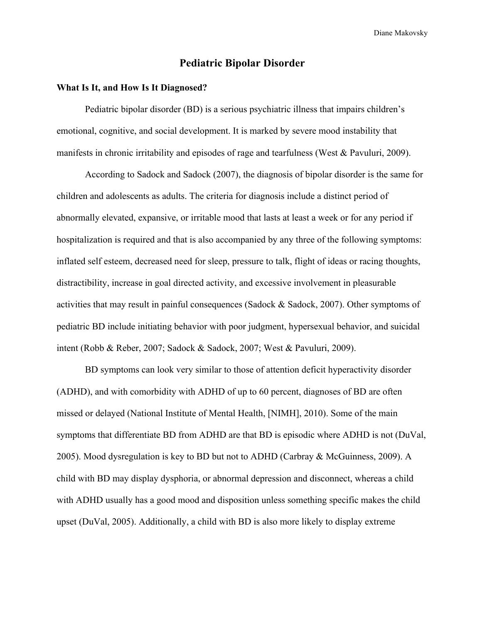# **Pediatric Bipolar Disorder**

## **What Is It, and How Is It Diagnosed?**

Pediatric bipolar disorder (BD) is a serious psychiatric illness that impairs children's emotional, cognitive, and social development. It is marked by severe mood instability that manifests in chronic irritability and episodes of rage and tearfulness (West & Pavuluri, 2009).

According to Sadock and Sadock (2007), the diagnosis of bipolar disorder is the same for children and adolescents as adults. The criteria for diagnosis include a distinct period of abnormally elevated, expansive, or irritable mood that lasts at least a week or for any period if hospitalization is required and that is also accompanied by any three of the following symptoms: inflated self esteem, decreased need for sleep, pressure to talk, flight of ideas or racing thoughts, distractibility, increase in goal directed activity, and excessive involvement in pleasurable activities that may result in painful consequences (Sadock & Sadock, 2007). Other symptoms of pediatric BD include initiating behavior with poor judgment, hypersexual behavior, and suicidal intent (Robb & Reber, 2007; Sadock & Sadock, 2007; West & Pavuluri, 2009).

BD symptoms can look very similar to those of attention deficit hyperactivity disorder (ADHD), and with comorbidity with ADHD of up to 60 percent, diagnoses of BD are often missed or delayed (National Institute of Mental Health, [NIMH], 2010). Some of the main symptoms that differentiate BD from ADHD are that BD is episodic where ADHD is not (DuVal, 2005). Mood dysregulation is key to BD but not to ADHD (Carbray & McGuinness, 2009). A child with BD may display dysphoria, or abnormal depression and disconnect, whereas a child with ADHD usually has a good mood and disposition unless something specific makes the child upset (DuVal, 2005). Additionally, a child with BD is also more likely to display extreme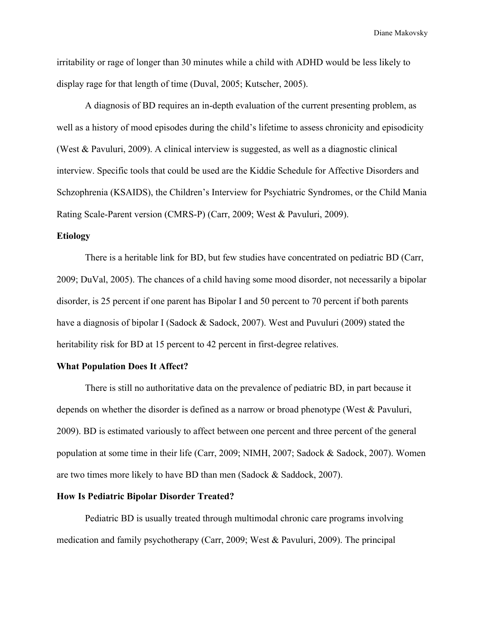irritability or rage of longer than 30 minutes while a child with ADHD would be less likely to display rage for that length of time (Duval, 2005; Kutscher, 2005).

A diagnosis of BD requires an in-depth evaluation of the current presenting problem, as well as a history of mood episodes during the child's lifetime to assess chronicity and episodicity (West & Pavuluri, 2009). A clinical interview is suggested, as well as a diagnostic clinical interview. Specific tools that could be used are the Kiddie Schedule for Affective Disorders and Schzophrenia (KSAIDS), the Children's Interview for Psychiatric Syndromes, or the Child Mania Rating Scale-Parent version (CMRS-P) (Carr, 2009; West & Pavuluri, 2009).

# **Etiology**

There is a heritable link for BD, but few studies have concentrated on pediatric BD (Carr, 2009; DuVal, 2005). The chances of a child having some mood disorder, not necessarily a bipolar disorder, is 25 percent if one parent has Bipolar I and 50 percent to 70 percent if both parents have a diagnosis of bipolar I (Sadock & Sadock, 2007). West and Puvuluri (2009) stated the heritability risk for BD at 15 percent to 42 percent in first-degree relatives.

#### **What Population Does It Affect?**

There is still no authoritative data on the prevalence of pediatric BD, in part because it depends on whether the disorder is defined as a narrow or broad phenotype (West & Pavuluri, 2009). BD is estimated variously to affect between one percent and three percent of the general population at some time in their life (Carr, 2009; NIMH, 2007; Sadock & Sadock, 2007). Women are two times more likely to have BD than men (Sadock & Saddock, 2007).

# **How Is Pediatric Bipolar Disorder Treated?**

Pediatric BD is usually treated through multimodal chronic care programs involving medication and family psychotherapy (Carr, 2009; West & Pavuluri, 2009). The principal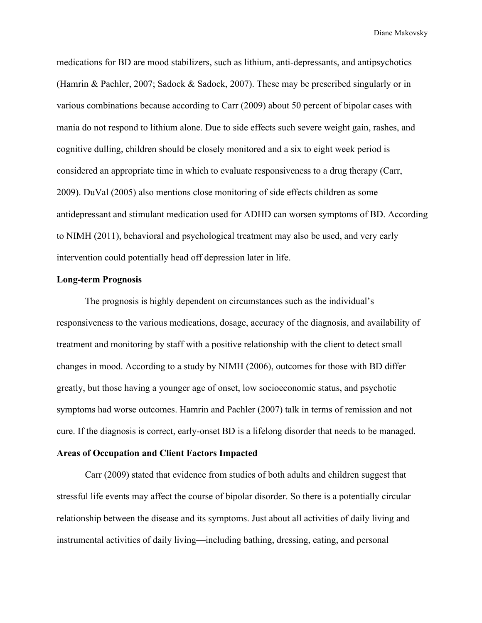medications for BD are mood stabilizers, such as lithium, anti-depressants, and antipsychotics (Hamrin & Pachler, 2007; Sadock & Sadock, 2007). These may be prescribed singularly or in various combinations because according to Carr (2009) about 50 percent of bipolar cases with mania do not respond to lithium alone. Due to side effects such severe weight gain, rashes, and cognitive dulling, children should be closely monitored and a six to eight week period is considered an appropriate time in which to evaluate responsiveness to a drug therapy (Carr, 2009). DuVal (2005) also mentions close monitoring of side effects children as some antidepressant and stimulant medication used for ADHD can worsen symptoms of BD. According to NIMH (2011), behavioral and psychological treatment may also be used, and very early intervention could potentially head off depression later in life.

#### **Long-term Prognosis**

The prognosis is highly dependent on circumstances such as the individual's responsiveness to the various medications, dosage, accuracy of the diagnosis, and availability of treatment and monitoring by staff with a positive relationship with the client to detect small changes in mood. According to a study by NIMH (2006), outcomes for those with BD differ greatly, but those having a younger age of onset, low socioeconomic status, and psychotic symptoms had worse outcomes. Hamrin and Pachler (2007) talk in terms of remission and not cure. If the diagnosis is correct, early-onset BD is a lifelong disorder that needs to be managed.

## **Areas of Occupation and Client Factors Impacted**

Carr (2009) stated that evidence from studies of both adults and children suggest that stressful life events may affect the course of bipolar disorder. So there is a potentially circular relationship between the disease and its symptoms. Just about all activities of daily living and instrumental activities of daily living—including bathing, dressing, eating, and personal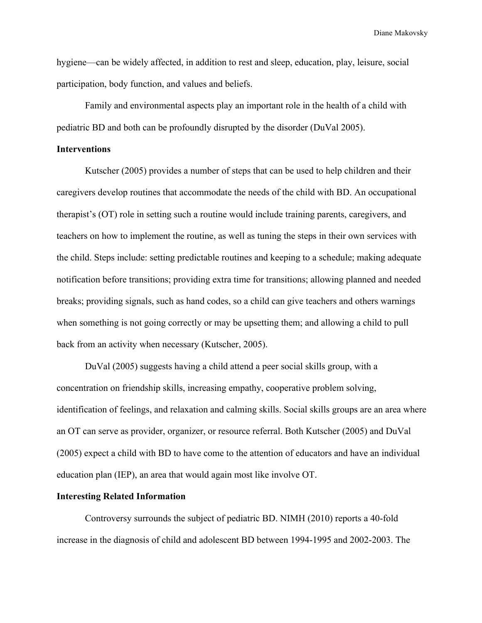hygiene—can be widely affected, in addition to rest and sleep, education, play, leisure, social participation, body function, and values and beliefs.

Family and environmental aspects play an important role in the health of a child with pediatric BD and both can be profoundly disrupted by the disorder (DuVal 2005).

## **Interventions**

Kutscher (2005) provides a number of steps that can be used to help children and their caregivers develop routines that accommodate the needs of the child with BD. An occupational therapist's (OT) role in setting such a routine would include training parents, caregivers, and teachers on how to implement the routine, as well as tuning the steps in their own services with the child. Steps include: setting predictable routines and keeping to a schedule; making adequate notification before transitions; providing extra time for transitions; allowing planned and needed breaks; providing signals, such as hand codes, so a child can give teachers and others warnings when something is not going correctly or may be upsetting them; and allowing a child to pull back from an activity when necessary (Kutscher, 2005).

DuVal (2005) suggests having a child attend a peer social skills group, with a concentration on friendship skills, increasing empathy, cooperative problem solving, identification of feelings, and relaxation and calming skills. Social skills groups are an area where an OT can serve as provider, organizer, or resource referral. Both Kutscher (2005) and DuVal (2005) expect a child with BD to have come to the attention of educators and have an individual education plan (IEP), an area that would again most like involve OT.

# **Interesting Related Information**

Controversy surrounds the subject of pediatric BD. NIMH (2010) reports a 40-fold increase in the diagnosis of child and adolescent BD between 1994-1995 and 2002-2003. The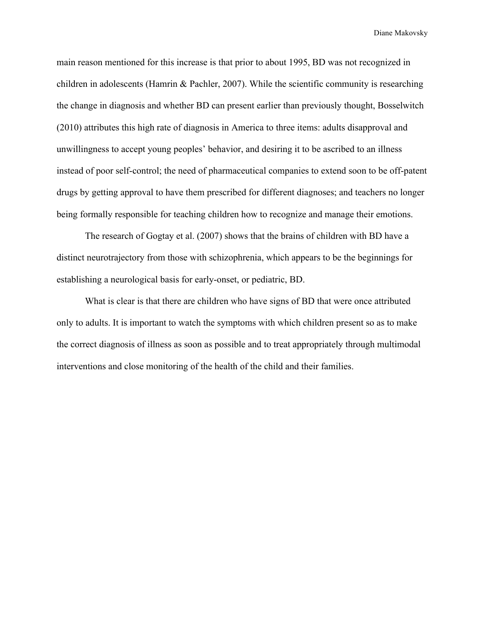main reason mentioned for this increase is that prior to about 1995, BD was not recognized in children in adolescents (Hamrin & Pachler, 2007). While the scientific community is researching the change in diagnosis and whether BD can present earlier than previously thought, Bosselwitch (2010) attributes this high rate of diagnosis in America to three items: adults disapproval and unwillingness to accept young peoples' behavior, and desiring it to be ascribed to an illness instead of poor self-control; the need of pharmaceutical companies to extend soon to be off-patent drugs by getting approval to have them prescribed for different diagnoses; and teachers no longer being formally responsible for teaching children how to recognize and manage their emotions.

The research of Gogtay et al. (2007) shows that the brains of children with BD have a distinct neurotrajectory from those with schizophrenia, which appears to be the beginnings for establishing a neurological basis for early-onset, or pediatric, BD.

What is clear is that there are children who have signs of BD that were once attributed only to adults. It is important to watch the symptoms with which children present so as to make the correct diagnosis of illness as soon as possible and to treat appropriately through multimodal interventions and close monitoring of the health of the child and their families.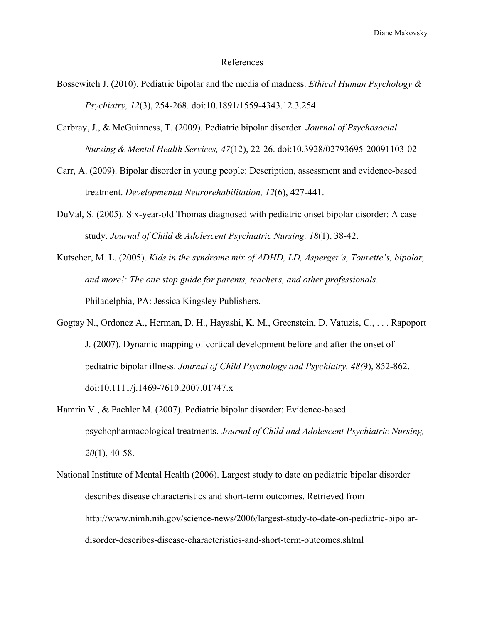#### References

- Bossewitch J. (2010). Pediatric bipolar and the media of madness. *Ethical Human Psychology & Psychiatry, 12*(3), 254-268. doi:10.1891/1559-4343.12.3.254
- Carbray, J., & McGuinness, T. (2009). Pediatric bipolar disorder. *Journal of Psychosocial Nursing & Mental Health Services, 47*(12), 22-26. doi:10.3928/02793695-20091103-02
- Carr, A. (2009). Bipolar disorder in young people: Description, assessment and evidence-based treatment. *Developmental Neurorehabilitation, 12*(6), 427-441.
- DuVal, S. (2005). Six-year-old Thomas diagnosed with pediatric onset bipolar disorder: A case study. *Journal of Child & Adolescent Psychiatric Nursing, 18*(1), 38-42.
- Kutscher, M. L. (2005). *Kids in the syndrome mix of ADHD, LD, Asperger's, Tourette's, bipolar, and more!: The one stop guide for parents, teachers, and other professionals*. Philadelphia, PA: Jessica Kingsley Publishers.
- Gogtay N., Ordonez A., Herman, D. H., Hayashi, K. M., Greenstein, D. Vatuzis, C., . . . Rapoport J. (2007). Dynamic mapping of cortical development before and after the onset of pediatric bipolar illness. *Journal of Child Psychology and Psychiatry, 48(*9), 852-862. doi:10.1111/j.1469-7610.2007.01747.x
- Hamrin V., & Pachler M. (2007). Pediatric bipolar disorder: Evidence-based psychopharmacological treatments. *Journal of Child and Adolescent Psychiatric Nursing, 20*(1), 40-58.
- National Institute of Mental Health (2006). Largest study to date on pediatric bipolar disorder describes disease characteristics and short-term outcomes. Retrieved from http://www.nimh.nih.gov/science-news/2006/largest-study-to-date-on-pediatric-bipolardisorder-describes-disease-characteristics-and-short-term-outcomes.shtml